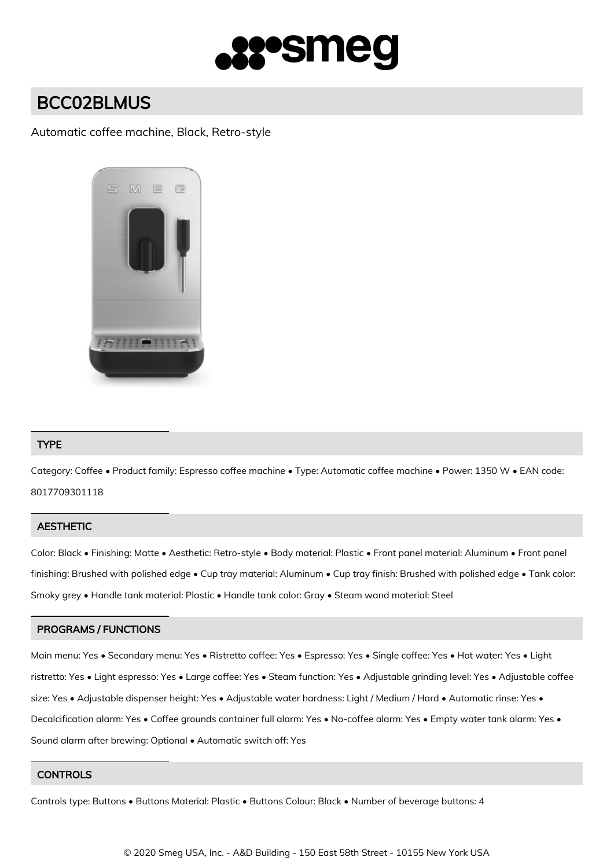

# BCC02BLMUS

## Automatic coffee machine, Black, Retro-style



## TYPE

Category: Coffee • Product family: Espresso coffee machine • Type: Automatic coffee machine • Power: 1350 W • EAN code: 8017709301118

#### **AESTHETIC**

Color: Black • Finishing: Matte • Aesthetic: Retro-style • Body material: Plastic • Front panel material: Aluminum • Front panel finishing: Brushed with polished edge • Cup tray material: Aluminum • Cup tray finish: Brushed with polished edge • Tank color: Smoky grey • Handle tank material: Plastic • Handle tank color: Gray • Steam wand material: Steel

## PROGRAMS / FUNCTIONS

Main menu: Yes • Secondary menu: Yes • Ristretto coffee: Yes • Espresso: Yes • Single coffee: Yes • Hot water: Yes • Light ristretto: Yes • Light espresso: Yes • Large coffee: Yes • Steam function: Yes • Adjustable grinding level: Yes • Adjustable coffee size: Yes • Adjustable dispenser height: Yes • Adjustable water hardness: Light / Medium / Hard • Automatic rinse: Yes • Decalcification alarm: Yes • Coffee grounds container full alarm: Yes • No-coffee alarm: Yes • Empty water tank alarm: Yes • Sound alarm after brewing: Optional • Automatic switch off: Yes

#### **CONTROLS**

Controls type: Buttons • Buttons Material: Plastic • Buttons Colour: Black • Number of beverage buttons: 4